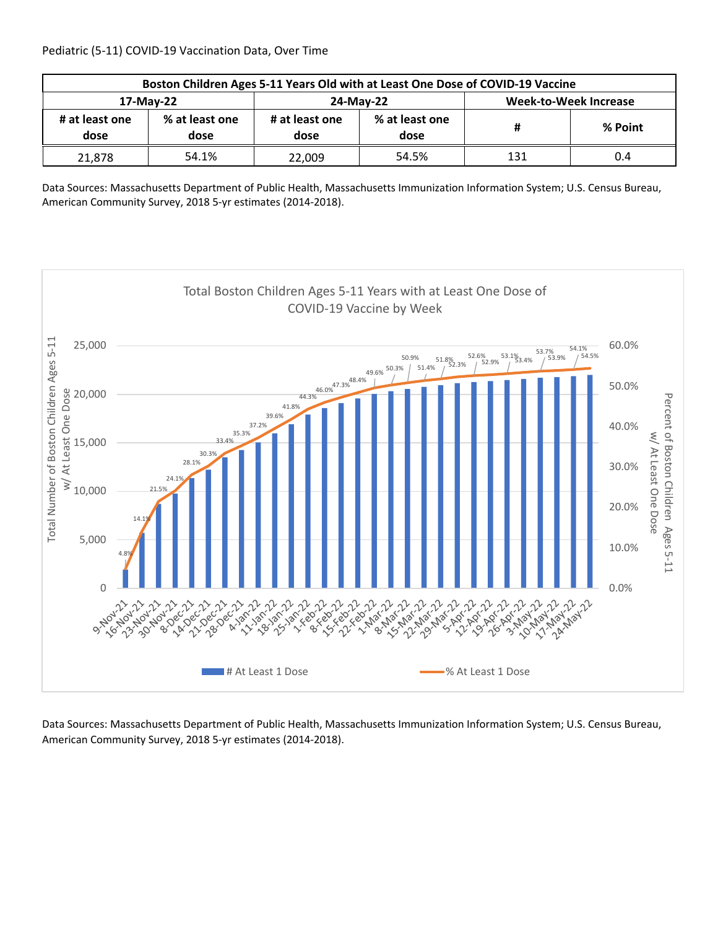| Boston Children Ages 5-11 Years Old with at Least One Dose of COVID-19 Vaccine |                        |                        |                        |                       |         |  |  |
|--------------------------------------------------------------------------------|------------------------|------------------------|------------------------|-----------------------|---------|--|--|
| 17-May-22                                                                      |                        |                        | 24-May-22              | Week-to-Week Increase |         |  |  |
| # at least one<br>dose                                                         | % at least one<br>dose | # at least one<br>dose | % at least one<br>dose | #                     | % Point |  |  |
| 21,878                                                                         | 54.1%                  | 22,009                 | 54.5%                  | 131                   | 0.4     |  |  |

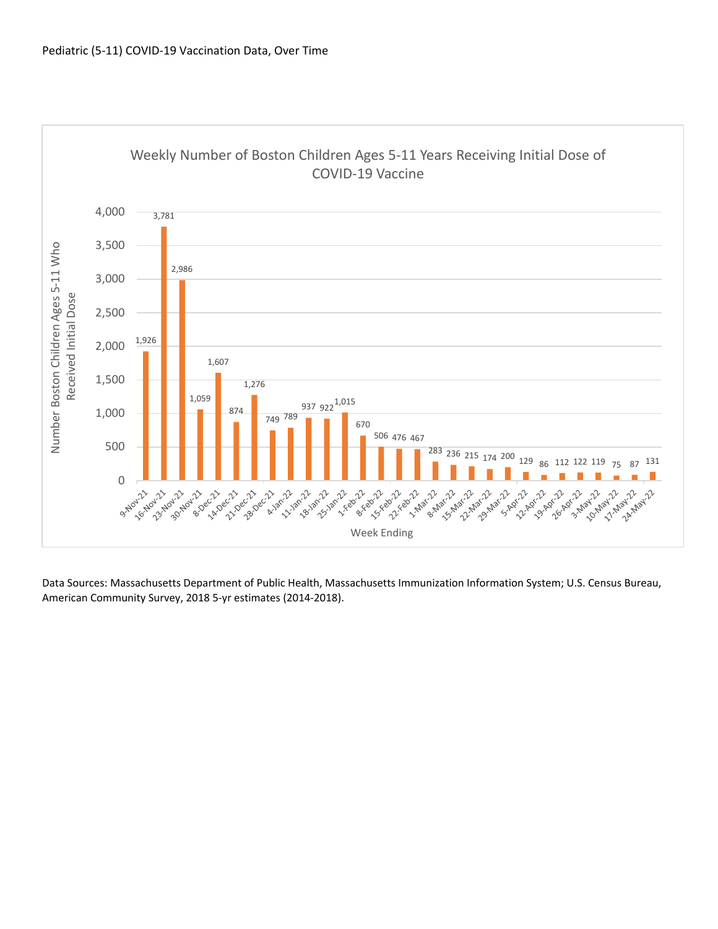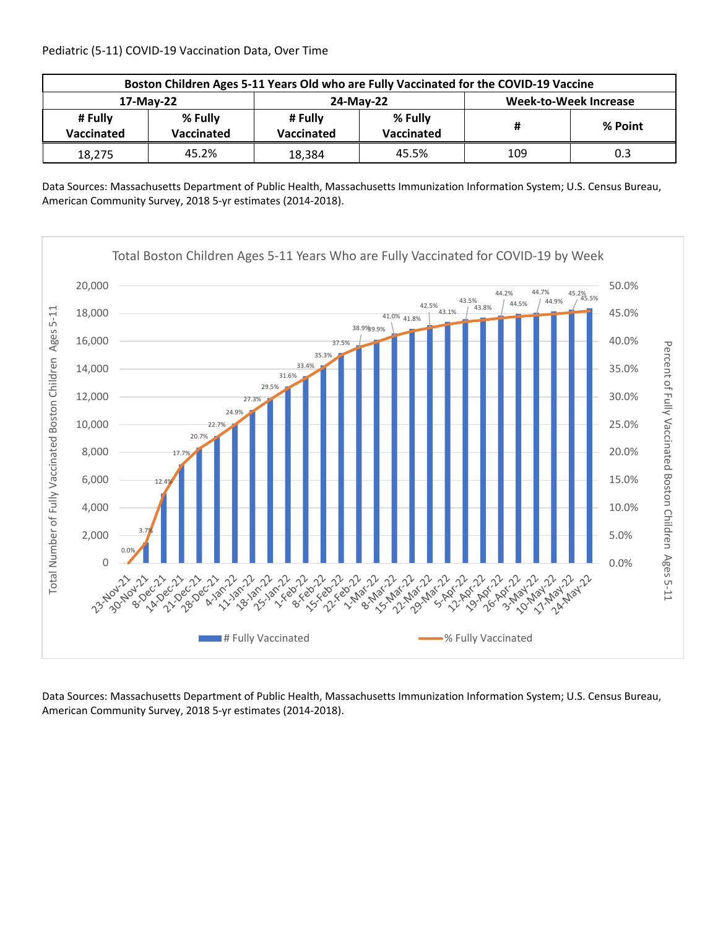| Boston Children Ages 5-11 Years Old who are Fully Vaccinated for the COVID-19 Vaccine |                       |                       |                              |                              |         |  |  |
|---------------------------------------------------------------------------------------|-----------------------|-----------------------|------------------------------|------------------------------|---------|--|--|
| 17-May-22                                                                             |                       |                       | 24-May-22                    | <b>Week-to-Week Increase</b> |         |  |  |
| # Fully<br>Vaccinated                                                                 | % Fully<br>Vaccinated | # Fully<br>Vaccinated | % Fully<br><b>Vaccinated</b> | #                            | % Point |  |  |
| 18,275                                                                                | 45.2%                 | 18,384                | 45.5%                        | 109                          | 0.3     |  |  |

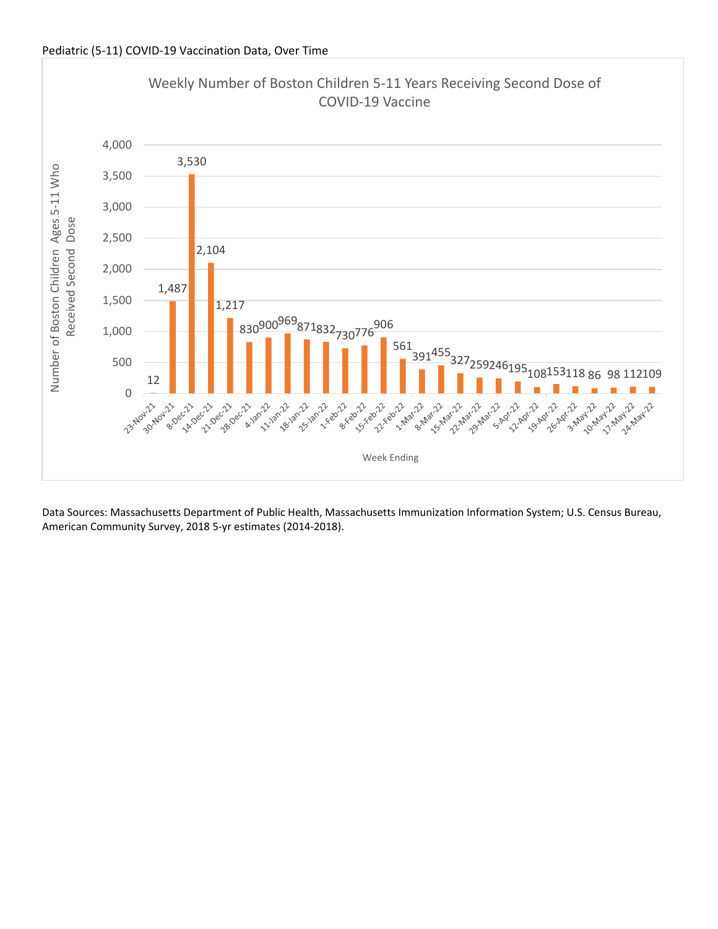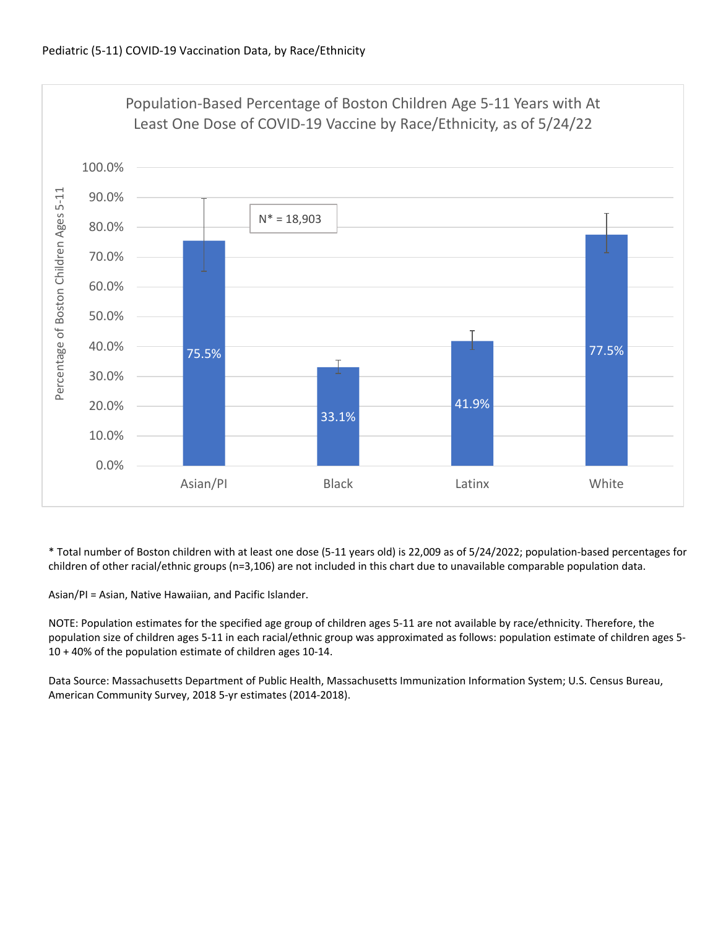

\* Total number of Boston children with at least one dose (5‐11 years old) is 22,009 as of 5/24/2022; population‐based percentages for children of other racial/ethnic groups (n=3,106) are not included in this chart due to unavailable comparable population data.

Asian/PI = Asian, Native Hawaiian, and Pacific Islander.

NOTE: Population estimates for the specified age group of children ages 5‐11 are not available by race/ethnicity. Therefore, the population size of children ages 5‐11 in each racial/ethnic group was approximated as follows: population estimate of children ages 5‐ 10 + 40% of the population estimate of children ages 10‐14.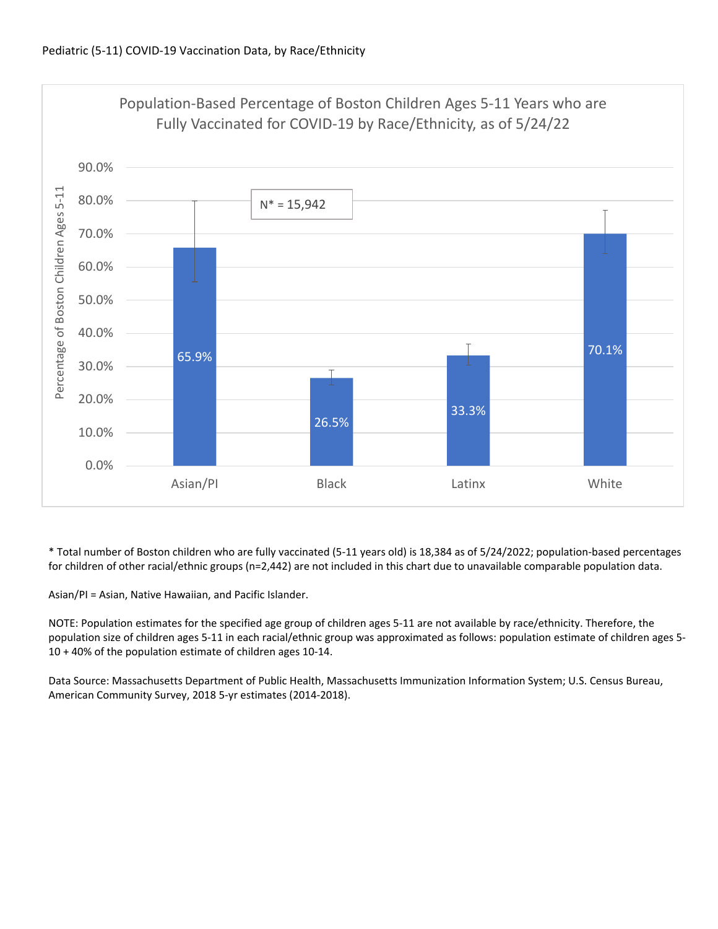

\* Total number of Boston children who are fully vaccinated (5‐11 years old) is 18,384 as of 5/24/2022; population‐based percentages for children of other racial/ethnic groups (n=2,442) are not included in this chart due to unavailable comparable population data.

Asian/PI = Asian, Native Hawaiian, and Pacific Islander.

NOTE: Population estimates for the specified age group of children ages 5‐11 are not available by race/ethnicity. Therefore, the population size of children ages 5‐11 in each racial/ethnic group was approximated as follows: population estimate of children ages 5‐ 10 + 40% of the population estimate of children ages 10‐14.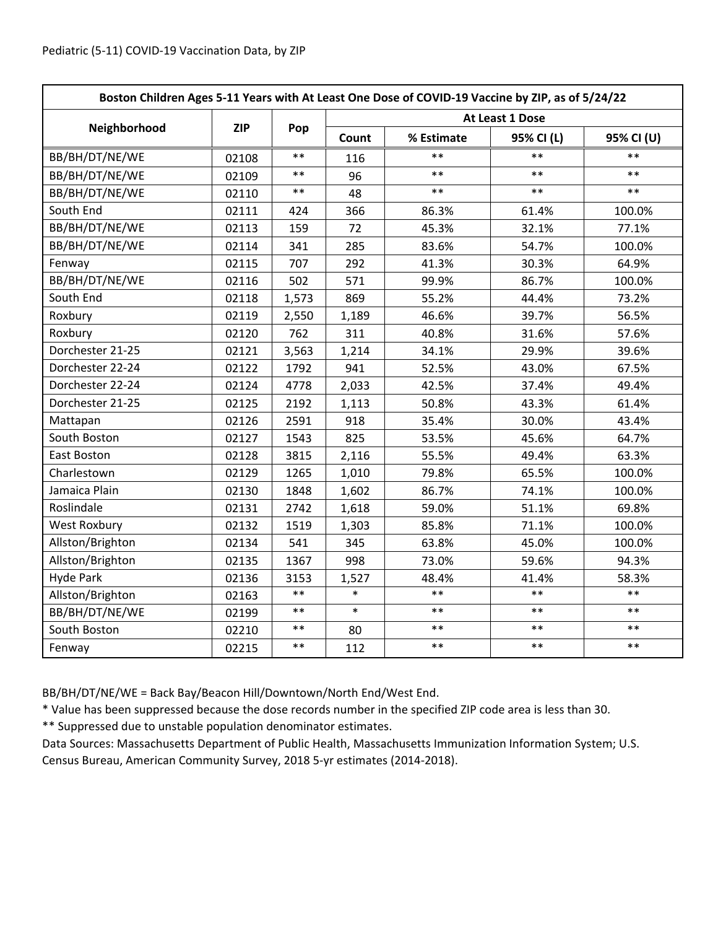| Boston Children Ages 5-11 Years with At Least One Dose of COVID-19 Vaccine by ZIP, as of 5/24/22 |            |       |                 |            |            |            |  |
|--------------------------------------------------------------------------------------------------|------------|-------|-----------------|------------|------------|------------|--|
|                                                                                                  | <b>ZIP</b> | Pop   | At Least 1 Dose |            |            |            |  |
| Neighborhood                                                                                     |            |       | Count           | % Estimate | 95% CI (L) | 95% CI (U) |  |
| BB/BH/DT/NE/WE                                                                                   | 02108      | $**$  | 116             | **         | $***$      | $**$       |  |
| BB/BH/DT/NE/WE                                                                                   | 02109      | $***$ | 96              | $***$      | $***$      | $***$      |  |
| BB/BH/DT/NE/WE                                                                                   | 02110      | $***$ | 48              | $***$      | $***$      | $***$      |  |
| South End                                                                                        | 02111      | 424   | 366             | 86.3%      | 61.4%      | 100.0%     |  |
| BB/BH/DT/NE/WE                                                                                   | 02113      | 159   | 72              | 45.3%      | 32.1%      | 77.1%      |  |
| BB/BH/DT/NE/WE                                                                                   | 02114      | 341   | 285             | 83.6%      | 54.7%      | 100.0%     |  |
| Fenway                                                                                           | 02115      | 707   | 292             | 41.3%      | 30.3%      | 64.9%      |  |
| BB/BH/DT/NE/WE                                                                                   | 02116      | 502   | 571             | 99.9%      | 86.7%      | 100.0%     |  |
| South End                                                                                        | 02118      | 1,573 | 869             | 55.2%      | 44.4%      | 73.2%      |  |
| Roxbury                                                                                          | 02119      | 2,550 | 1,189           | 46.6%      | 39.7%      | 56.5%      |  |
| Roxbury                                                                                          | 02120      | 762   | 311             | 40.8%      | 31.6%      | 57.6%      |  |
| Dorchester 21-25                                                                                 | 02121      | 3,563 | 1,214           | 34.1%      | 29.9%      | 39.6%      |  |
| Dorchester 22-24                                                                                 | 02122      | 1792  | 941             | 52.5%      | 43.0%      | 67.5%      |  |
| Dorchester 22-24                                                                                 | 02124      | 4778  | 2,033           | 42.5%      | 37.4%      | 49.4%      |  |
| Dorchester 21-25                                                                                 | 02125      | 2192  | 1,113           | 50.8%      | 43.3%      | 61.4%      |  |
| Mattapan                                                                                         | 02126      | 2591  | 918             | 35.4%      | 30.0%      | 43.4%      |  |
| South Boston                                                                                     | 02127      | 1543  | 825             | 53.5%      | 45.6%      | 64.7%      |  |
| East Boston                                                                                      | 02128      | 3815  | 2,116           | 55.5%      | 49.4%      | 63.3%      |  |
| Charlestown                                                                                      | 02129      | 1265  | 1,010           | 79.8%      | 65.5%      | 100.0%     |  |
| Jamaica Plain                                                                                    | 02130      | 1848  | 1,602           | 86.7%      | 74.1%      | 100.0%     |  |
| Roslindale                                                                                       | 02131      | 2742  | 1,618           | 59.0%      | 51.1%      | 69.8%      |  |
| <b>West Roxbury</b>                                                                              | 02132      | 1519  | 1,303           | 85.8%      | 71.1%      | 100.0%     |  |
| Allston/Brighton                                                                                 | 02134      | 541   | 345             | 63.8%      | 45.0%      | 100.0%     |  |
| Allston/Brighton                                                                                 | 02135      | 1367  | 998             | 73.0%      | 59.6%      | 94.3%      |  |
| <b>Hyde Park</b>                                                                                 | 02136      | 3153  | 1,527           | 48.4%      | 41.4%      | 58.3%      |  |
| Allston/Brighton                                                                                 | 02163      | $***$ | $\ast$          | $***$      | $**$       | $***$      |  |
| BB/BH/DT/NE/WE                                                                                   | 02199      | $***$ | $\ast$          | $**$       | $**$       | $**$       |  |
| South Boston                                                                                     | 02210      | $***$ | 80              | $***$      | $***$      | $***$      |  |
| Fenway                                                                                           | 02215      | $***$ | 112             | $***$      | $***$      | $***$      |  |

BB/BH/DT/NE/WE = Back Bay/Beacon Hill/Downtown/North End/West End.

\* Value has been suppressed because the dose records number in the specified ZIP code area is less than 30.

\*\* Suppressed due to unstable population denominator estimates.